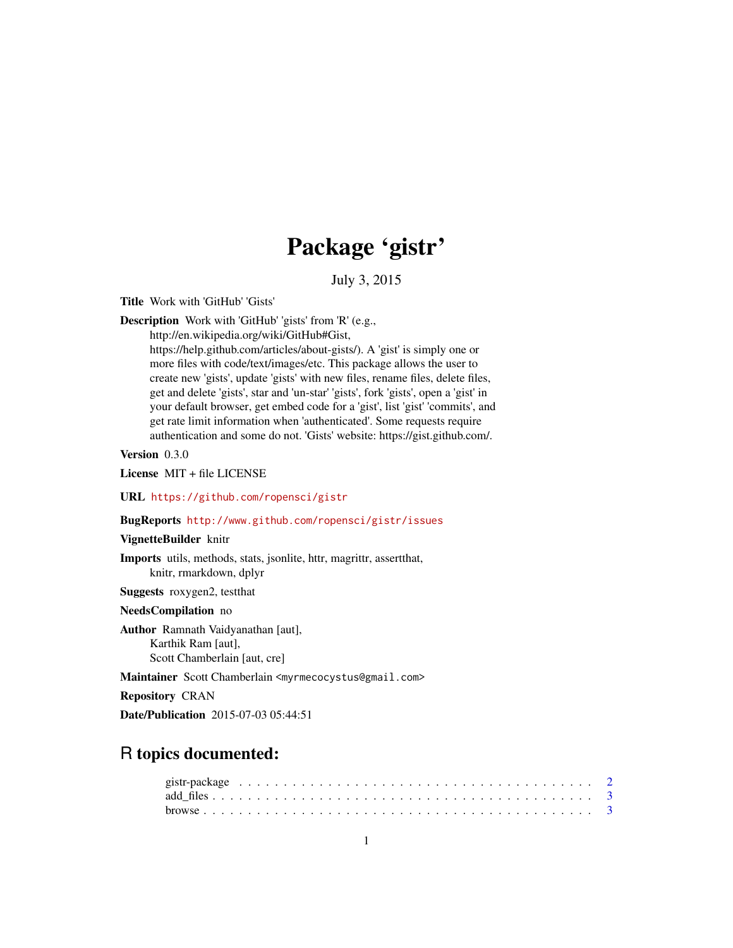# Package 'gistr'

July 3, 2015

<span id="page-0-0"></span>Title Work with 'GitHub' 'Gists'

Description Work with 'GitHub' 'gists' from 'R' (e.g.,

http://en.wikipedia.org/wiki/GitHub#Gist, https://help.github.com/articles/about-gists/). A 'gist' is simply one or more files with code/text/images/etc. This package allows the user to create new 'gists', update 'gists' with new files, rename files, delete files, get and delete 'gists', star and 'un-star' 'gists', fork 'gists', open a 'gist' in your default browser, get embed code for a 'gist', list 'gist' 'commits', and get rate limit information when 'authenticated'. Some requests require authentication and some do not. 'Gists' website: https://gist.github.com/.

Version 0.3.0

License MIT + file LICENSE

#### URL <https://github.com/ropensci/gistr>

#### BugReports <http://www.github.com/ropensci/gistr/issues>

#### VignetteBuilder knitr

Imports utils, methods, stats, jsonlite, httr, magrittr, assertthat, knitr, rmarkdown, dplyr

Suggests roxygen2, testthat

#### NeedsCompilation no

Author Ramnath Vaidyanathan [aut], Karthik Ram [aut], Scott Chamberlain [aut, cre]

Maintainer Scott Chamberlain <myrmecocystus@gmail.com>

Repository CRAN

Date/Publication 2015-07-03 05:44:51

# R topics documented: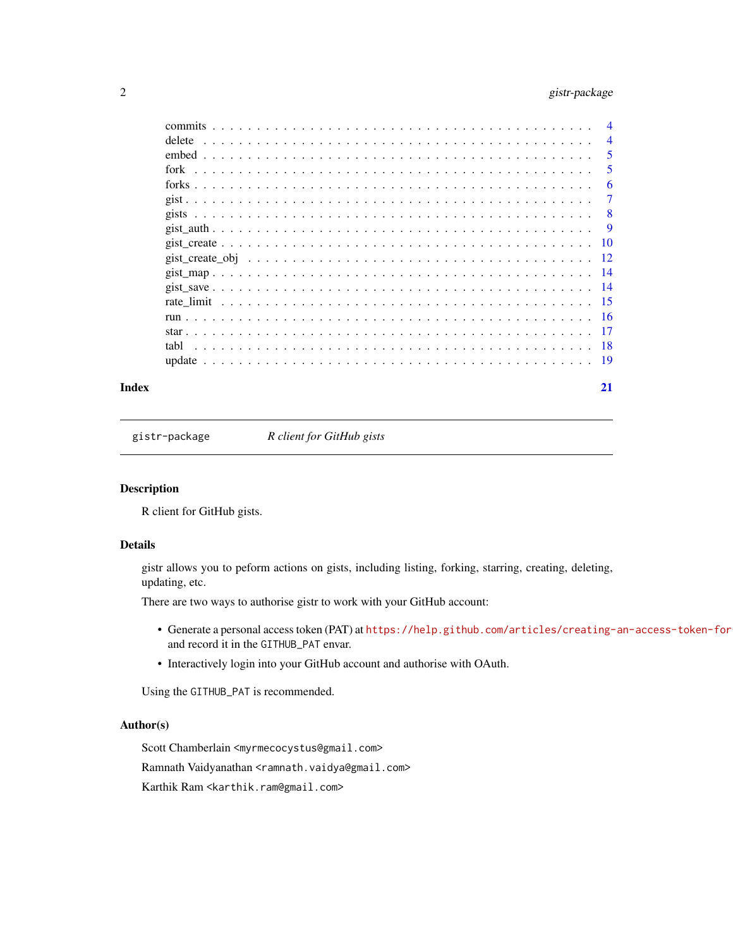# <span id="page-1-0"></span>2 gistr-package

|       | delete |  | $\overline{4}$ |
|-------|--------|--|----------------|
|       |        |  | 5              |
|       |        |  | 5              |
|       |        |  | 6              |
|       |        |  | -7             |
|       |        |  |                |
|       |        |  |                |
|       |        |  |                |
|       |        |  |                |
|       |        |  |                |
|       |        |  |                |
|       |        |  |                |
|       |        |  |                |
|       |        |  |                |
|       |        |  |                |
|       |        |  |                |
| Index |        |  | 21             |

gistr-package *R client for GitHub gists*

#### Description

R client for GitHub gists.

#### Details

gistr allows you to peform actions on gists, including listing, forking, starring, creating, deleting, updating, etc.

There are two ways to authorise gistr to work with your GitHub account:

- Generate a personal access token (PAT) at https://help.github.com/articles/creating-an-access-token-for and record it in the GITHUB\_PAT envar.
- Interactively login into your GitHub account and authorise with OAuth.

Using the GITHUB\_PAT is recommended.

# Author(s)

Scott Chamberlain <myrmecocystus@gmail.com>

Ramnath Vaidyanathan <ramnath.vaidya@gmail.com>

Karthik Ram <karthik.ram@gmail.com>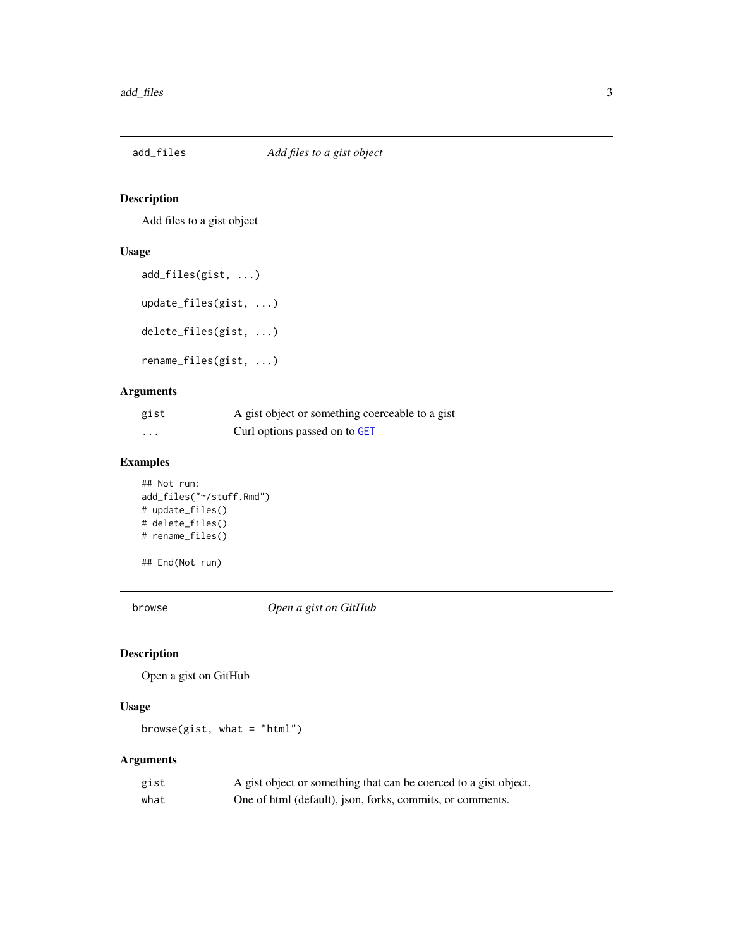<span id="page-2-0"></span>

Add files to a gist object

# Usage

```
add_files(gist, ...)
update_files(gist, ...)
delete_files(gist, ...)
rename_files(gist, ...)
```
# Arguments

| gist | A gist object or something coerceable to a gist |
|------|-------------------------------------------------|
| .    | Curl options passed on to GET                   |

# Examples

```
## Not run:
add_files("~/stuff.Rmd")
# update_files()
# delete_files()
# rename_files()
## End(Not run)
```
browse *Open a gist on GitHub*

# Description

Open a gist on GitHub

#### Usage

browse(gist, what = "html")

| gist | A gist object or something that can be coerced to a gist object. |
|------|------------------------------------------------------------------|
| what | One of html (default), json, forks, commits, or comments.        |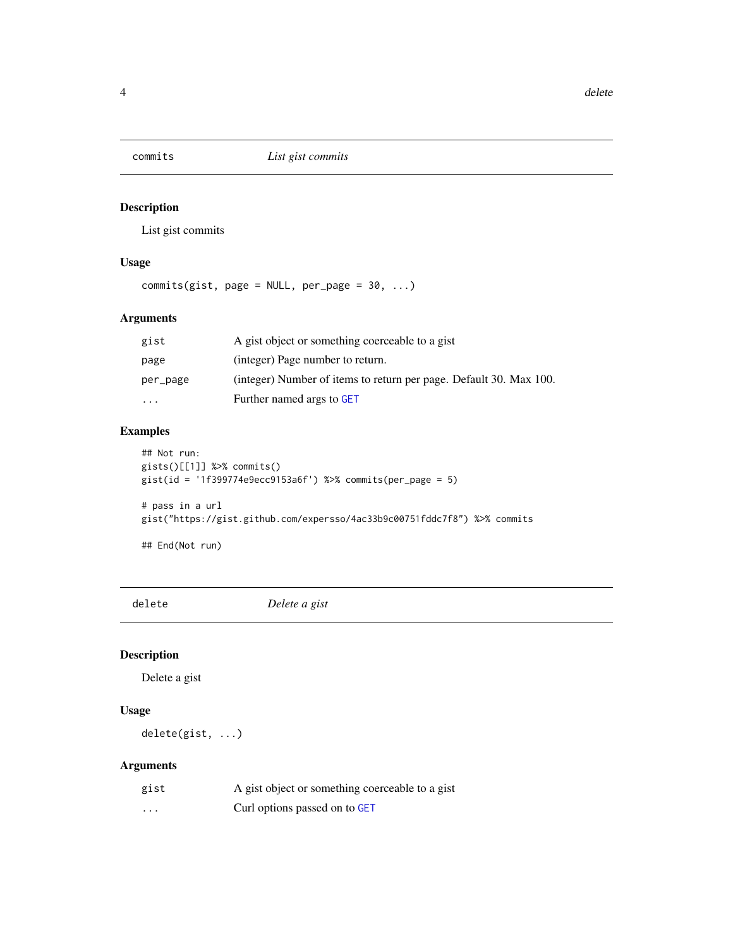<span id="page-3-0"></span>

List gist commits

# Usage

commits(gist, page =  $NULL$ , per\_page =  $30$ , ...)

# Arguments

| gist     | A gist object or something coerceable to a gist                    |
|----------|--------------------------------------------------------------------|
| page     | (integer) Page number to return.                                   |
| per_page | (integer) Number of items to return per page. Default 30. Max 100. |
| $\cdots$ | Further named args to GET                                          |

# Examples

```
## Not run:
gists()[[1]] %>% commits()
gist(id = '1f399774e9ecc9153a6f') %>% commits(per_page = 5)
# pass in a url
gist("https://gist.github.com/expersso/4ac33b9c00751fddc7f8") %>% commits
## End(Not run)
```
delete *Delete a gist*

# Description

Delete a gist

# Usage

delete(gist, ...)

| gist     | A gist object or something coerceable to a gist |
|----------|-------------------------------------------------|
| $\cdots$ | Curl options passed on to GET                   |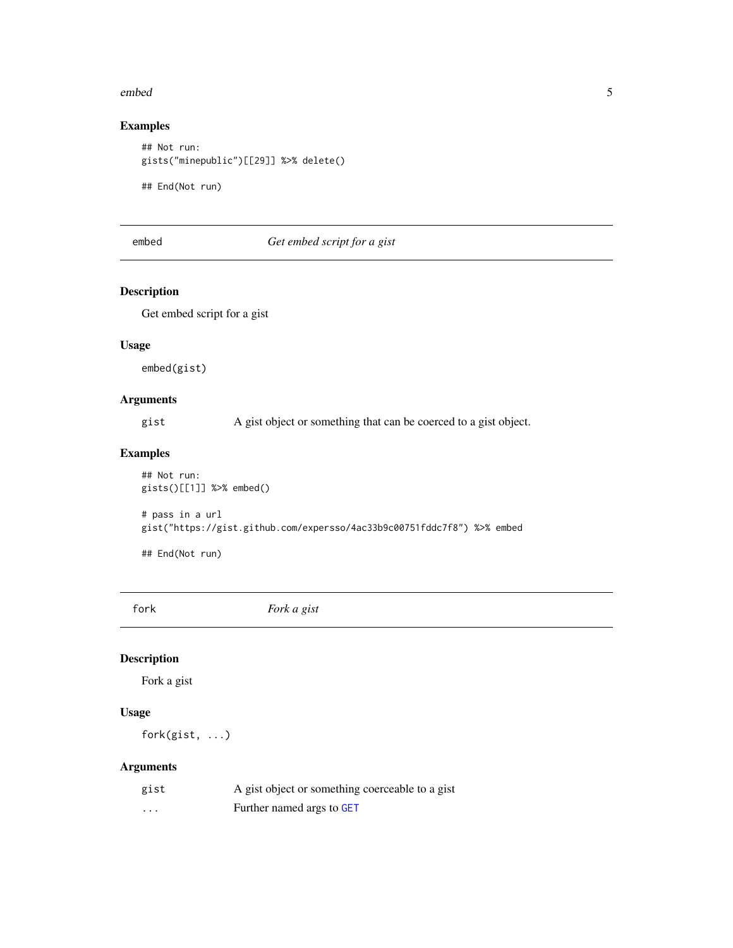#### <span id="page-4-0"></span>embed 55

# Examples

## Not run: gists("minepublic")[[29]] %>% delete()

## End(Not run)

# embed *Get embed script for a gist*

# Description

Get embed script for a gist

#### Usage

embed(gist)

# Arguments

gist A gist object or something that can be coerced to a gist object.

# Examples

## Not run: gists()[[1]] %>% embed()

# pass in a url gist("https://gist.github.com/expersso/4ac33b9c00751fddc7f8") %>% embed

## End(Not run)

fork *Fork a gist*

# Description

Fork a gist

# Usage

fork(gist, ...)

| gist | A gist object or something coerceable to a gist |
|------|-------------------------------------------------|
| .    | Further named args to GET                       |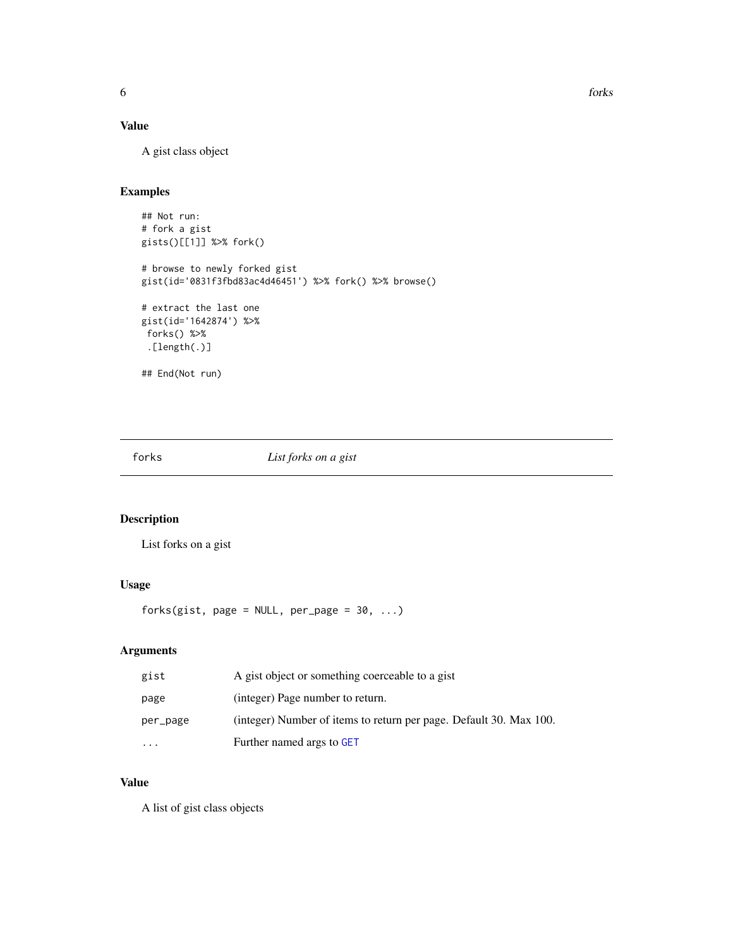# <span id="page-5-0"></span>Value

A gist class object

# Examples

```
## Not run:
# fork a gist
gists()[[1]] %>% fork()
# browse to newly forked gist
gist(id='0831f3fbd83ac4d46451') %>% fork() %>% browse()
# extract the last one
gist(id='1642874') %>%
forks() %>%
 .[length(.)]
## End(Not run)
```
forks *List forks on a gist*

# Description

List forks on a gist

# Usage

forks(gist, page =  $NULL$ , per\_page =  $30$ , ...)

# Arguments

| gist     | A gist object or something coerceable to a gist                    |
|----------|--------------------------------------------------------------------|
| page     | (integer) Page number to return.                                   |
| per_page | (integer) Number of items to return per page. Default 30. Max 100. |
| .        | Further named args to GET                                          |

# Value

A list of gist class objects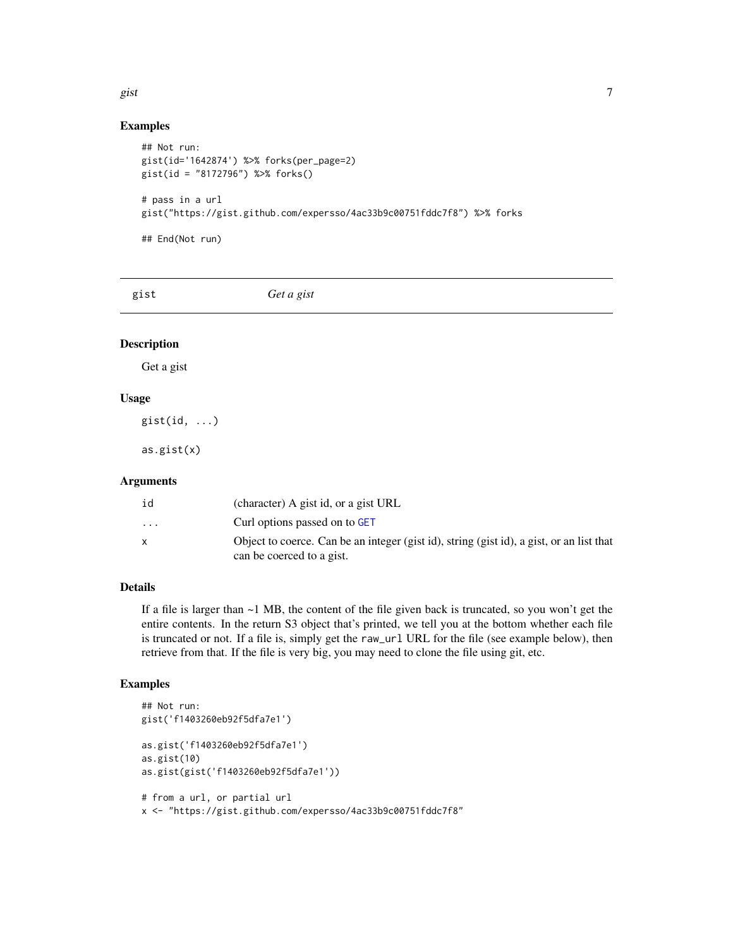#### <span id="page-6-0"></span>gist the contract of the contract of the contract of the contract of the contract of the contract of the contract of the contract of the contract of the contract of the contract of the contract of the contract of the contr

#### Examples

```
## Not run:
gist(id='1642874') %>% forks(per_page=2)
gist(id = "8172796") %>% forks()
# pass in a url
gist("https://gist.github.com/expersso/4ac33b9c00751fddc7f8") %>% forks
## End(Not run)
```
gist *Get a gist*

#### Description

Get a gist

#### Usage

gist(id, ...)

as.gist(x)

# Arguments

| id                      | (character) A gist id, or a gist URL                                                     |
|-------------------------|------------------------------------------------------------------------------------------|
| $\cdot$ $\cdot$ $\cdot$ | Curl options passed on to GET                                                            |
|                         | Object to coerce. Can be an integer (gist id), string (gist id), a gist, or an list that |
|                         | can be coerced to a gist.                                                                |

# Details

If a file is larger than  $\sim$  1 MB, the content of the file given back is truncated, so you won't get the entire contents. In the return S3 object that's printed, we tell you at the bottom whether each file is truncated or not. If a file is, simply get the raw\_url URL for the file (see example below), then retrieve from that. If the file is very big, you may need to clone the file using git, etc.

```
## Not run:
gist('f1403260eb92f5dfa7e1')
as.gist('f1403260eb92f5dfa7e1')
as.gist(10)
as.gist(gist('f1403260eb92f5dfa7e1'))
# from a url, or partial url
```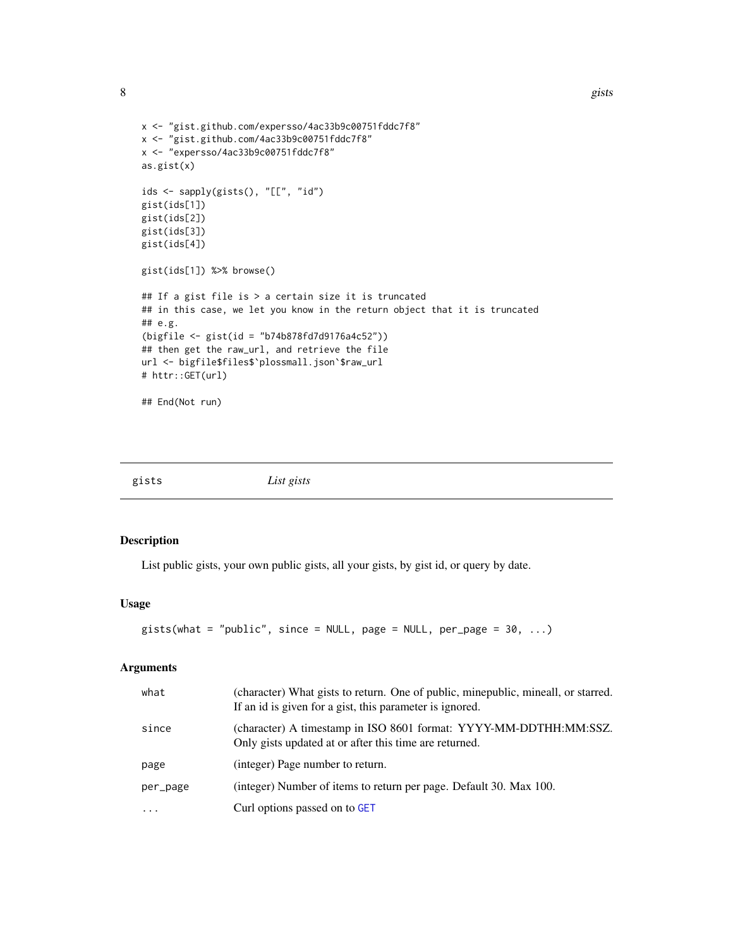```
x <- "gist.github.com/expersso/4ac33b9c00751fddc7f8"
x <- "gist.github.com/4ac33b9c00751fddc7f8"
x <- "expersso/4ac33b9c00751fddc7f8"
as.gist(x)
ids <- sapply(gists(), "[[", "id")
gist(ids[1])
gist(ids[2])
gist(ids[3])
gist(ids[4])
gist(ids[1]) %>% browse()
## If a gist file is > a certain size it is truncated
## in this case, we let you know in the return object that it is truncated
## e.g.
(bigfile <- gist(id = "b74b878fd7d9176a4c52"))
## then get the raw_url, and retrieve the file
url <- bigfile$files$`plossmall.json`$raw_url
# httr::GET(url)
## End(Not run)
```
gists *List gists*

#### Description

List public gists, your own public gists, all your gists, by gist id, or query by date.

#### Usage

```
gists(what = "public", since = NULL, page = NULL, per_page = 30, ...)
```

| what     | (character) What gists to return. One of public, minepublic, mineall, or starred.<br>If an id is given for a gist, this parameter is ignored. |
|----------|-----------------------------------------------------------------------------------------------------------------------------------------------|
| since    | (character) A timestamp in ISO 8601 format: YYYY-MM-DDTHH:MM:SSZ.<br>Only gists updated at or after this time are returned.                   |
| page     | (integer) Page number to return.                                                                                                              |
| per_page | (integer) Number of items to return per page. Default 30. Max 100.                                                                            |
| $\cdots$ | Curl options passed on to GET                                                                                                                 |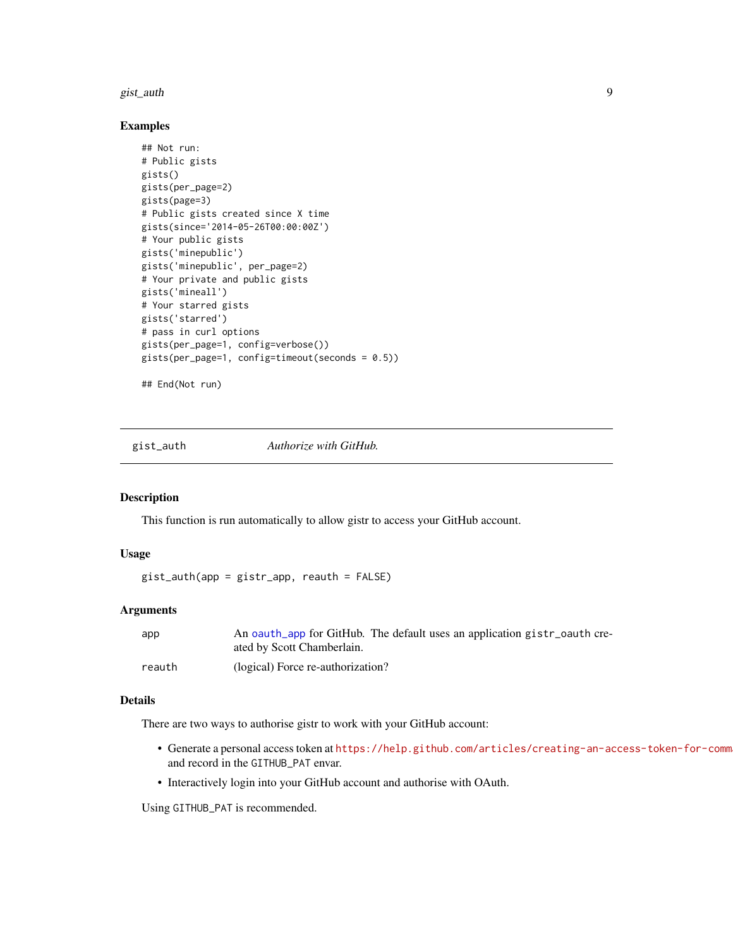#### <span id="page-8-0"></span>gist\_auth 9

#### Examples

```
## Not run:
# Public gists
gists()
gists(per_page=2)
gists(page=3)
# Public gists created since X time
gists(since='2014-05-26T00:00:00Z')
# Your public gists
gists('minepublic')
gists('minepublic', per_page=2)
# Your private and public gists
gists('mineall')
# Your starred gists
gists('starred')
# pass in curl options
gists(per_page=1, config=verbose())
gists(per_page=1, config=timeout(seconds = 0.5))
## End(Not run)
```
gist\_auth *Authorize with GitHub.*

#### Description

This function is run automatically to allow gistr to access your GitHub account.

#### Usage

gist\_auth(app = gistr\_app, reauth = FALSE)

#### Arguments

| app    | An oauth_app for GitHub. The default uses an application gistr_oauth cre- |
|--------|---------------------------------------------------------------------------|
|        | ated by Scott Chamberlain.                                                |
| reauth | (logical) Force re-authorization?                                         |

#### Details

There are two ways to authorise gistr to work with your GitHub account:

- Generate a personal access token at https://help.github.com/articles/creating-an-access-token-for-comm and record in the GITHUB\_PAT envar.
- Interactively login into your GitHub account and authorise with OAuth.

Using GITHUB\_PAT is recommended.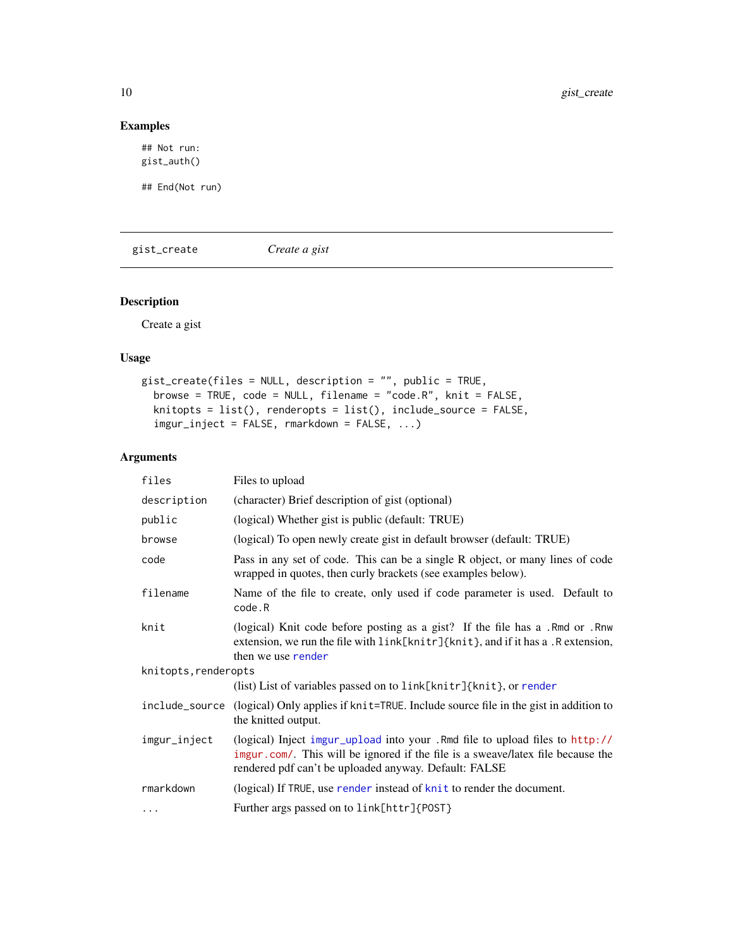# Examples

## Not run: gist\_auth()

## End(Not run)

<span id="page-9-1"></span>gist\_create *Create a gist*

# Description

Create a gist

# Usage

```
gist_create(files = NULL, description = "", public = TRUE,
 browse = TRUE, code = NULL, filename = "code.R", knit = FALSE,
 knitopts = list(), renderopts = list(), include_source = FALSE,
  imgur_inject = FALSE, rmarkdown = FALSE, ...)
```

| files                | Files to upload                                                                                                                                                                                                          |
|----------------------|--------------------------------------------------------------------------------------------------------------------------------------------------------------------------------------------------------------------------|
| description          | (character) Brief description of gist (optional)                                                                                                                                                                         |
| public               | (logical) Whether gist is public (default: TRUE)                                                                                                                                                                         |
| browse               | (logical) To open newly create gist in default browser (default: TRUE)                                                                                                                                                   |
| code                 | Pass in any set of code. This can be a single R object, or many lines of code<br>wrapped in quotes, then curly brackets (see examples below).                                                                            |
| filename             | Name of the file to create, only used if code parameter is used. Default to<br>code.R                                                                                                                                    |
| knit                 | (logical) Knit code before posting as a gist? If the file has a .Rmd or .Rnw<br>extension, we run the file with link[knitr]{knit}, and if it has a. R extension,<br>then we use render                                   |
| knitopts, renderopts |                                                                                                                                                                                                                          |
|                      | (list) List of variables passed on to $link[knitr]$ {knit}, or render                                                                                                                                                    |
|                      | include_source (logical) Only applies if knit=TRUE. Include source file in the gist in addition to<br>the knitted output.                                                                                                |
| imgur_inject         | (logical) Inject imgur_upload into your .Rmd file to upload files to http://<br>imgur.com/. This will be ignored if the file is a sweave/latex file because the<br>rendered pdf can't be uploaded anyway. Default: FALSE |
| rmarkdown            | (logical) If TRUE, use render instead of knit to render the document.                                                                                                                                                    |
| .                    | Further args passed on to link[httr]{POST}                                                                                                                                                                               |

<span id="page-9-0"></span>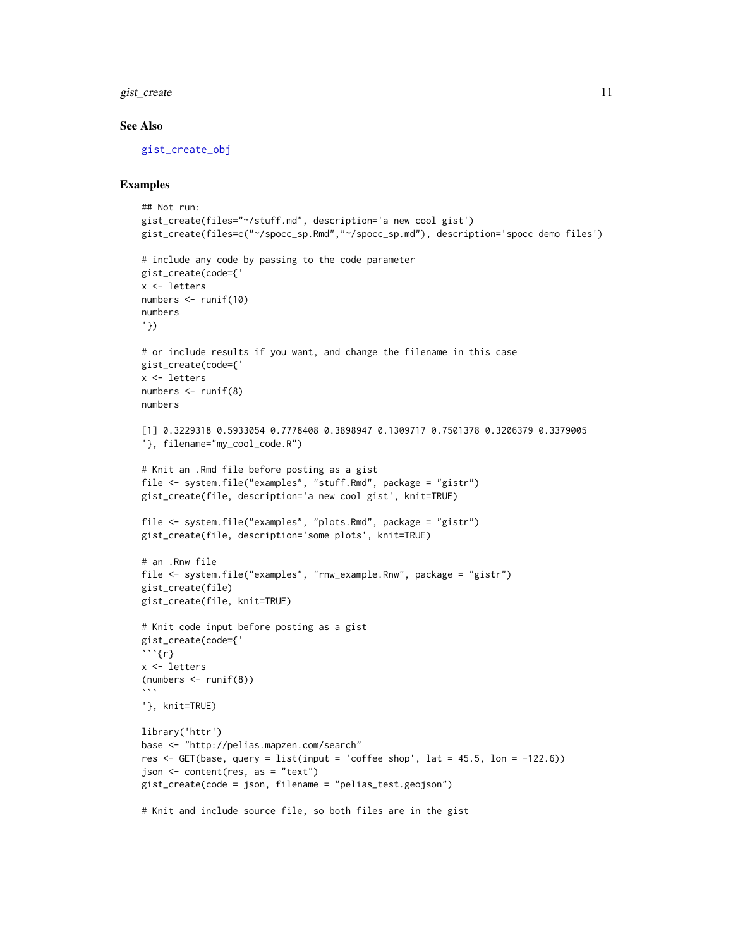<span id="page-10-0"></span>gist\_create 11

#### See Also

[gist\\_create\\_obj](#page-11-1)

```
## Not run:
gist_create(files="~/stuff.md", description='a new cool gist')
gist_create(files=c("~/spocc_sp.Rmd","~/spocc_sp.md"), description='spocc demo files')
# include any code by passing to the code parameter
gist_create(code={'
x <- letters
numbers <- runif(10)
numbers
'})
# or include results if you want, and change the filename in this case
gist_create(code={'
x <- letters
numbers <- runif(8)
numbers
[1] 0.3229318 0.5933054 0.7778408 0.3898947 0.1309717 0.7501378 0.3206379 0.3379005
'}, filename="my_cool_code.R")
# Knit an .Rmd file before posting as a gist
file <- system.file("examples", "stuff.Rmd", package = "gistr")
gist_create(file, description='a new cool gist', knit=TRUE)
file <- system.file("examples", "plots.Rmd", package = "gistr")
gist_create(file, description='some plots', knit=TRUE)
# an .Rnw file
file <- system.file("examples", "rnw_example.Rnw", package = "gistr")
gist_create(file)
gist_create(file, knit=TRUE)
# Knit code input before posting as a gist
gist_create(code={'
```{r}
x <- letters
(numbers <- runif(8))
\lambda \lambda \lambda'}, knit=TRUE)
library('httr')
base <- "http://pelias.mapzen.com/search"
res \leq GET(base, query = list(input = 'coffee shop', lat = 45.5, lon = -122.6))
json <- content(res, as = "text")
gist_create(code = json, filename = "pelias_test.geojson")
# Knit and include source file, so both files are in the gist
```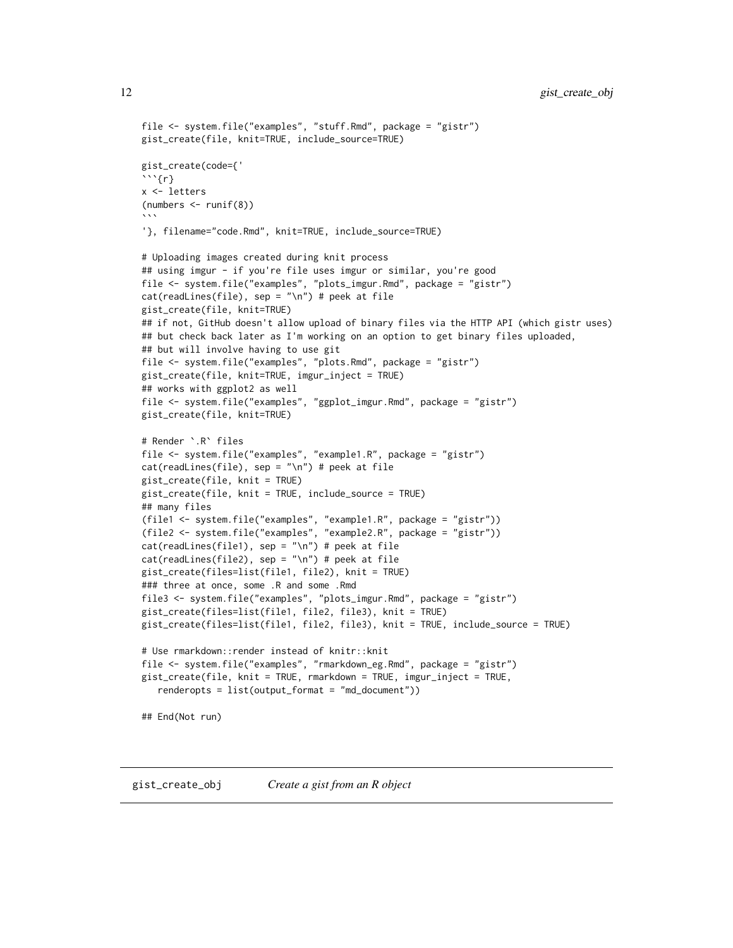```
12 gist_create_obj
```

```
file <- system.file("examples", "stuff.Rmd", package = "gistr")
gist_create(file, knit=TRUE, include_source=TRUE)
gist_create(code={'
```{r}
x <- letters
(numbers <- runif(8))
\sqrt{2}'}, filename="code.Rmd", knit=TRUE, include_source=TRUE)
# Uploading images created during knit process
## using imgur - if you're file uses imgur or similar, you're good
file <- system.file("examples", "plots_imgur.Rmd", package = "gistr")
cat(readLines(file), sep = "\n") # peek at file
gist_create(file, knit=TRUE)
## if not, GitHub doesn't allow upload of binary files via the HTTP API (which gistr uses)
## but check back later as I'm working on an option to get binary files uploaded,
## but will involve having to use git
file <- system.file("examples", "plots.Rmd", package = "gistr")
gist_create(file, knit=TRUE, imgur_inject = TRUE)
## works with ggplot2 as well
file <- system.file("examples", "ggplot_imgur.Rmd", package = "gistr")
gist_create(file, knit=TRUE)
# Render `.R` files
file <- system.file("examples", "example1.R", package = "gistr")
cat(readLines(file), sep = "\n") # peek at file
gist_create(file, knit = TRUE)
gist_create(file, knit = TRUE, include_source = TRUE)
## many files
(file1 <- system.file("examples", "example1.R", package = "gistr"))
(file2 <- system.file("examples", "example2.R", package = "gistr"))
cat(readLines(file1), sep = "\n") # peek at filecat(readLines(file2), sep = "\n") # peek at filegist_create(files=list(file1, file2), knit = TRUE)
### three at once, some .R and some .Rmd
file3 <- system.file("examples", "plots_imgur.Rmd", package = "gistr")
gist_create(files=list(file1, file2, file3), knit = TRUE)
gist_create(files=list(file1, file2, file3), knit = TRUE, include_source = TRUE)
# Use rmarkdown::render instead of knitr::knit
file <- system.file("examples", "rmarkdown_eg.Rmd", package = "gistr")
gist_create(file, knit = TRUE, rmarkdown = TRUE, imgur_inject = TRUE,
   renderopts = list(output_format = "md_document"))
## End(Not run)
```
<span id="page-11-1"></span>gist\_create\_obj *Create a gist from an R object*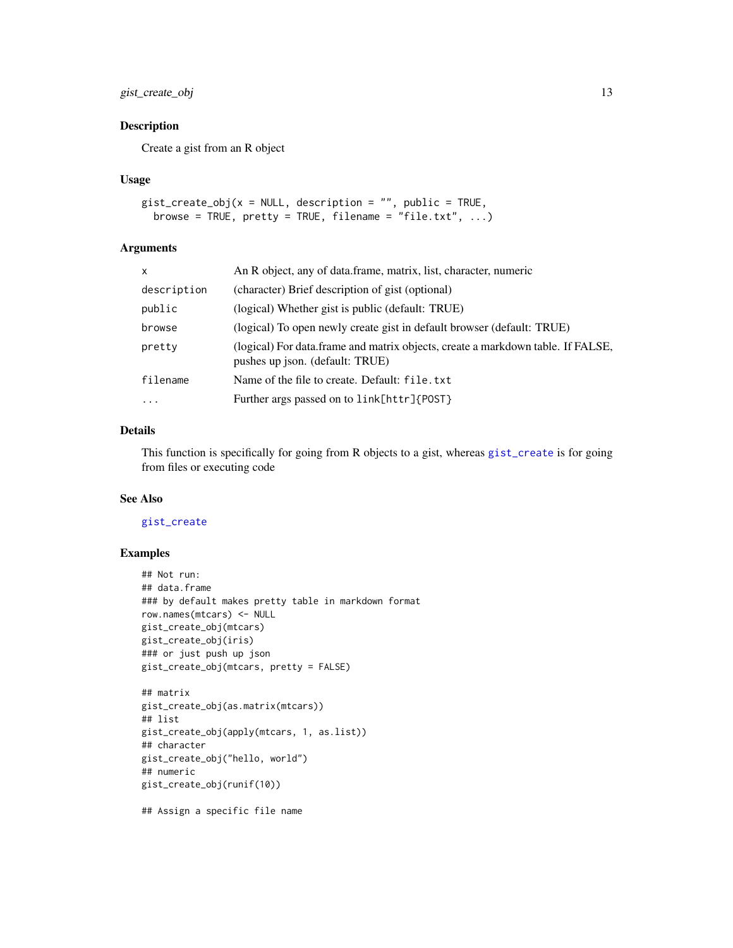# <span id="page-12-0"></span>gist\_create\_obj 13

# Description

Create a gist from an R object

#### Usage

```
gist\_create\_obj(x = NULL, description = "", public = TRUE,browse = TRUE, prety = TRUE, filename = "file.txt", ...)
```
#### Arguments

| x           | An R object, any of data.frame, matrix, list, character, numeric                                                   |  |
|-------------|--------------------------------------------------------------------------------------------------------------------|--|
| description | (character) Brief description of gist (optional)                                                                   |  |
| public      | (logical) Whether gist is public (default: TRUE)                                                                   |  |
| browse      | (logical) To open newly create gist in default browser (default: TRUE)                                             |  |
| pretty      | (logical) For data.frame and matrix objects, create a markdown table. If FALSE,<br>pushes up json. (default: TRUE) |  |
| filename    | Name of the file to create. Default: file.txt                                                                      |  |
| $\cdots$    | Further args passed on to link[httr]{POST}                                                                         |  |
|             |                                                                                                                    |  |

#### Details

This function is specifically for going from R objects to a gist, whereas [gist\\_create](#page-9-1) is for going from files or executing code

#### See Also

#### [gist\\_create](#page-9-1)

#### Examples

```
## Not run:
## data.frame
### by default makes pretty table in markdown format
row.names(mtcars) <- NULL
gist_create_obj(mtcars)
gist_create_obj(iris)
### or just push up json
gist_create_obj(mtcars, pretty = FALSE)
```

```
## matrix
gist_create_obj(as.matrix(mtcars))
## list
gist_create_obj(apply(mtcars, 1, as.list))
## character
gist_create_obj("hello, world")
## numeric
gist_create_obj(runif(10))
```
## Assign a specific file name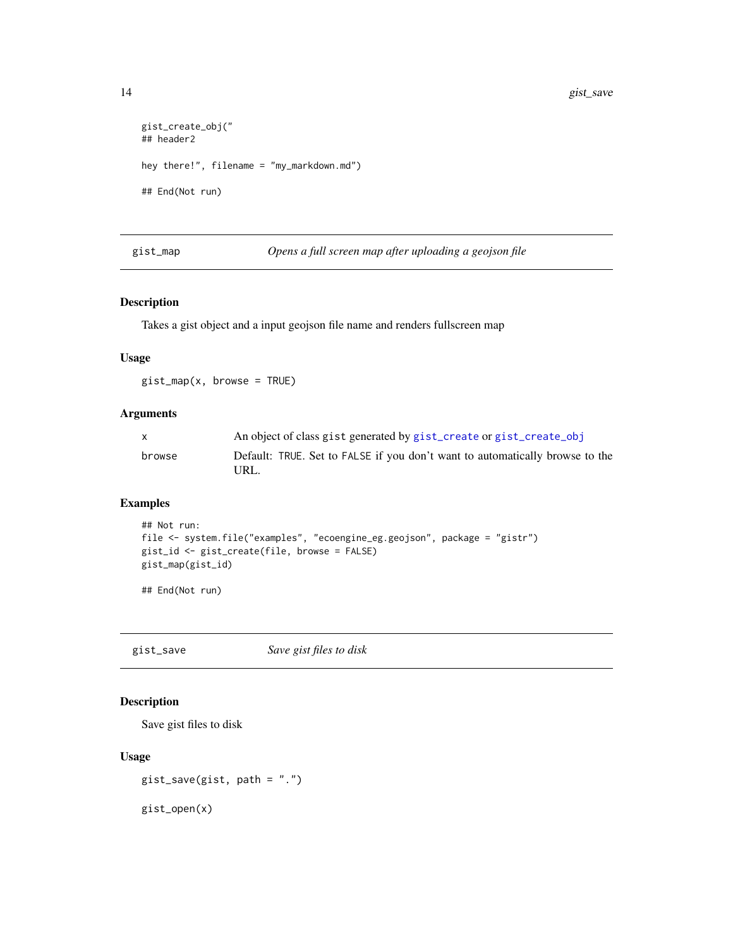```
gist_create_obj("
## header2
hey there!", filename = "my_markdown.md")
## End(Not run)
```
gist\_map *Opens a full screen map after uploading a geojson file*

# Description

Takes a gist object and a input geojson file name and renders fullscreen map

#### Usage

gist\_map(x, browse = TRUE)

#### Arguments

| X.     | An object of class gist generated by gist_create or gist_create_obj                  |
|--------|--------------------------------------------------------------------------------------|
| browse | Default: TRUE. Set to FALSE if you don't want to automatically browse to the<br>URL. |

# Examples

```
## Not run:
file <- system.file("examples", "ecoengine_eg.geojson", package = "gistr")
gist_id <- gist_create(file, browse = FALSE)
gist_map(gist_id)
```
## End(Not run)

gist\_save *Save gist files to disk*

# Description

Save gist files to disk

#### Usage

```
gist_save(gist, path = ".")
```
gist\_open(x)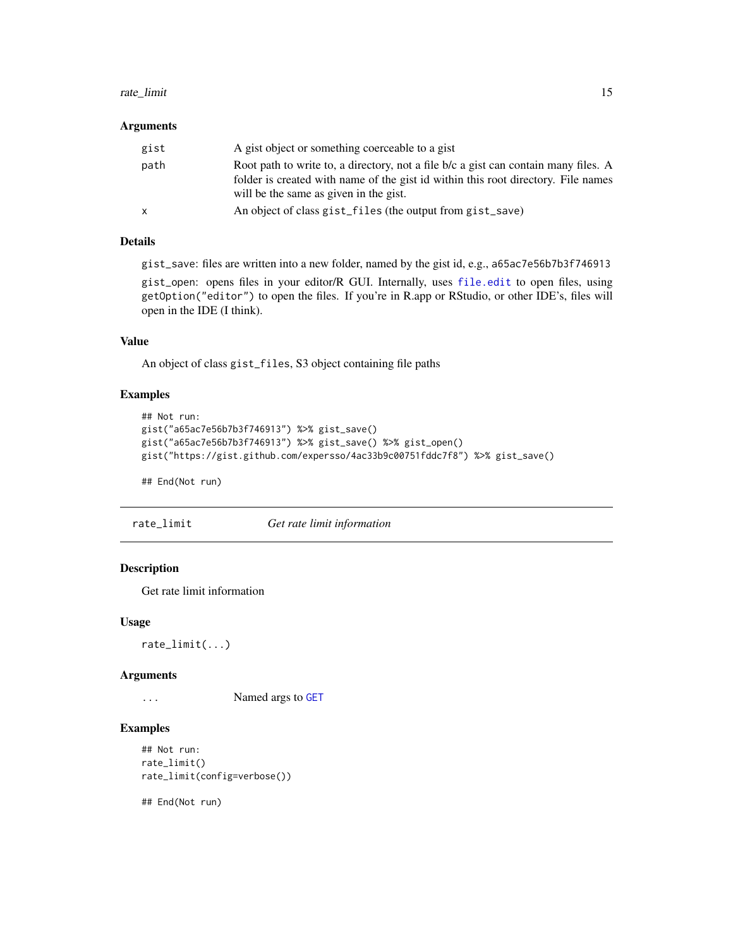#### <span id="page-14-0"></span>rate\_limit 15

#### **Arguments**

| gist | A gist object or something coerceable to a gist                                                                                                                                                                    |
|------|--------------------------------------------------------------------------------------------------------------------------------------------------------------------------------------------------------------------|
| path | Root path to write to, a directory, not a file b/c a gist can contain many files. A<br>folder is created with name of the gist id within this root directory. File names<br>will be the same as given in the gist. |
| X    | An object of class gist_files (the output from gist_save)                                                                                                                                                          |

# Details

gist\_save: files are written into a new folder, named by the gist id, e.g., a65ac7e56b7b3f746913

gist\_open: opens files in your editor/R GUI. Internally, uses [file.edit](#page-0-0) to open files, using getOption("editor") to open the files. If you're in R.app or RStudio, or other IDE's, files will open in the IDE (I think).

# Value

An object of class gist\_files, S3 object containing file paths

# Examples

```
## Not run:
gist("a65ac7e56b7b3f746913") %>% gist_save()
gist("a65ac7e56b7b3f746913") %>% gist_save() %>% gist_open()
gist("https://gist.github.com/expersso/4ac33b9c00751fddc7f8") %>% gist_save()
```
## End(Not run)

rate\_limit *Get rate limit information*

### Description

Get rate limit information

#### Usage

rate\_limit(...)

#### Arguments

... Named args to [GET](#page-0-0)

#### Examples

```
## Not run:
rate_limit()
rate_limit(config=verbose())
```
## End(Not run)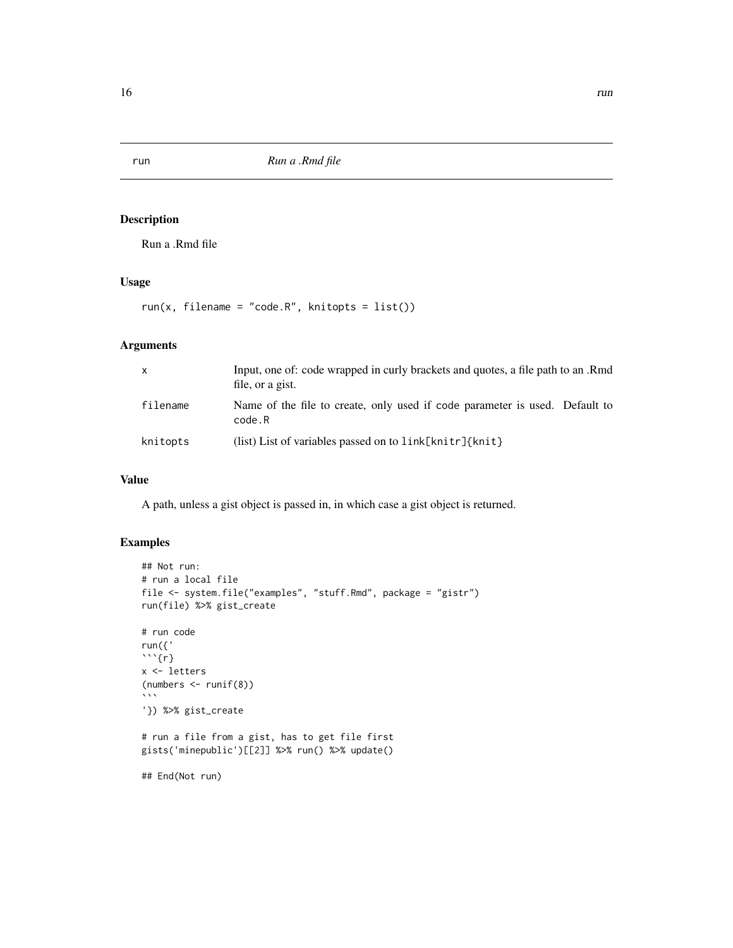Run a .Rmd file

# Usage

run(x, filename = "code. $R$ ", knitopts = list())

# Arguments

| $\mathsf{x}$ | Input, one of: code wrapped in curly brackets and quotes, a file path to an Rmd<br>file, or a gist. |
|--------------|-----------------------------------------------------------------------------------------------------|
| filename     | Name of the file to create, only used if code parameter is used. Default to<br>code.R               |
| knitopts     | (list) List of variables passed on to $link[knitr]\{knit\}$                                         |

#### Value

A path, unless a gist object is passed in, in which case a gist object is returned.

```
## Not run:
# run a local file
file <- system.file("examples", "stuff.Rmd", package = "gistr")
run(file) %>% gist_create
# run code
run({'
```{r}
x <- letters
(numbers <- runif(8))
\sqrt{2}'}) %>% gist_create
# run a file from a gist, has to get file first
gists('minepublic')[[2]] %>% run() %>% update()
## End(Not run)
```
<span id="page-15-0"></span>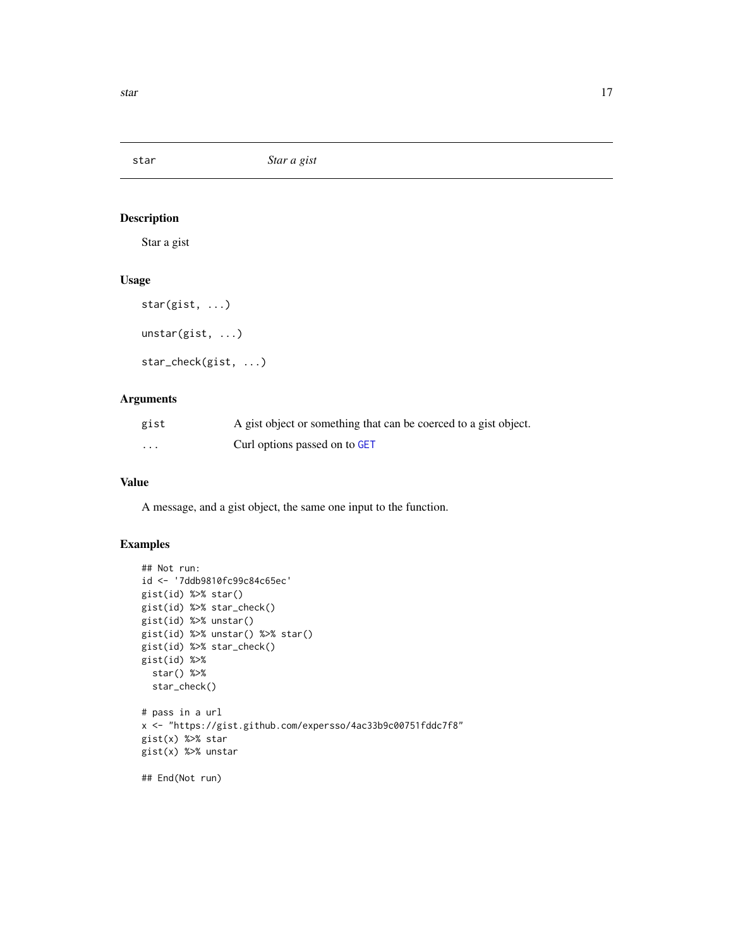<span id="page-16-0"></span>star *Star a gist*

# Description

Star a gist

# Usage

star(gist, ...)

unstar(gist, ...)

star\_check(gist, ...)

# Arguments

| gist                    | A gist object or something that can be coerced to a gist object. |
|-------------------------|------------------------------------------------------------------|
| $\cdot$ $\cdot$ $\cdot$ | Curl options passed on to GET                                    |

#### Value

A message, and a gist object, the same one input to the function.

```
## Not run:
id <- '7ddb9810fc99c84c65ec'
gist(id) %>% star()
gist(id) %>% star_check()
gist(id) %>% unstar()
gist(id) %>% unstar() %>% star()
gist(id) %>% star_check()
gist(id) %>%
  star() %>%
  star_check()
# pass in a url
x <- "https://gist.github.com/expersso/4ac33b9c00751fddc7f8"
gist(x) %>% star
gist(x) %>% unstar
## End(Not run)
```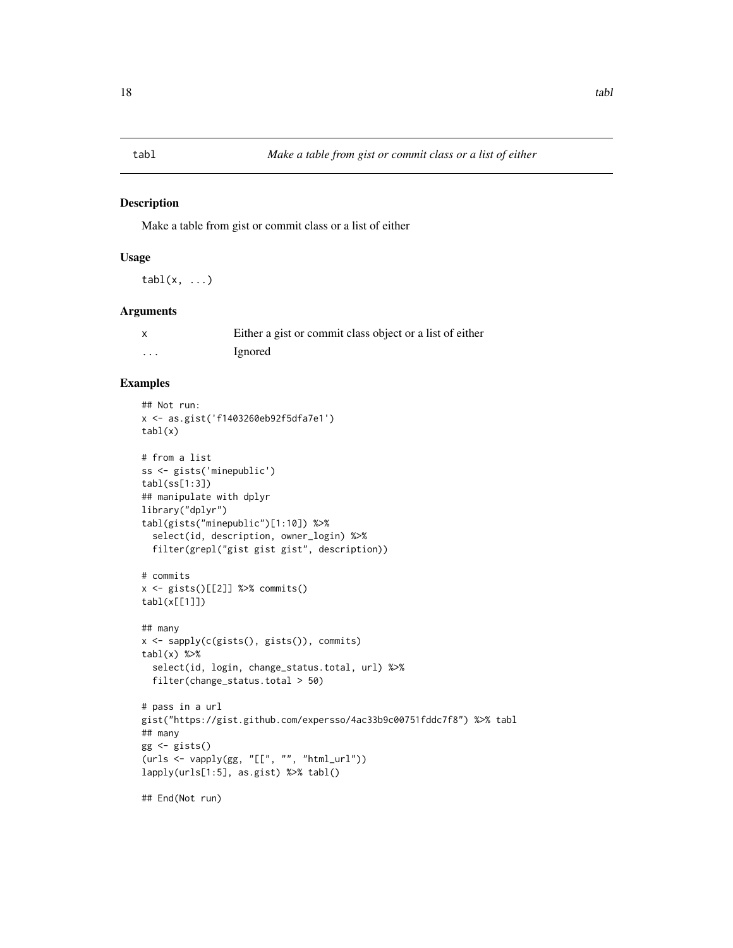<span id="page-17-0"></span>

Make a table from gist or commit class or a list of either

#### Usage

 $tabl(x, ...)$ 

#### Arguments

|   | Either a gist or commit class object or a list of either |
|---|----------------------------------------------------------|
| . | Ignored                                                  |

```
## Not run:
x <- as.gist('f1403260eb92f5dfa7e1')
tabl(x)
# from a list
ss <- gists('minepublic')
tabl(ss[1:3])
## manipulate with dplyr
library("dplyr")
tabl(gists("minepublic")[1:10]) %>%
  select(id, description, owner_login) %>%
  filter(grepl("gist gist gist", description))
# commits
x <- gists()[[2]] %>% commits()
tabl(x[[1]])
## many
x <- sapply(c(gists(), gists()), commits)
tabl(x) %>%
  select(id, login, change_status.total, url) %>%
  filter(change_status.total > 50)
# pass in a url
gist("https://gist.github.com/expersso/4ac33b9c00751fddc7f8") %>% tabl
## many
gg <- gists()
(urs < - vapply(gg, "[[", "", "htmlurl"))lapply(urls[1:5], as.gist) %>% tabl()
## End(Not run)
```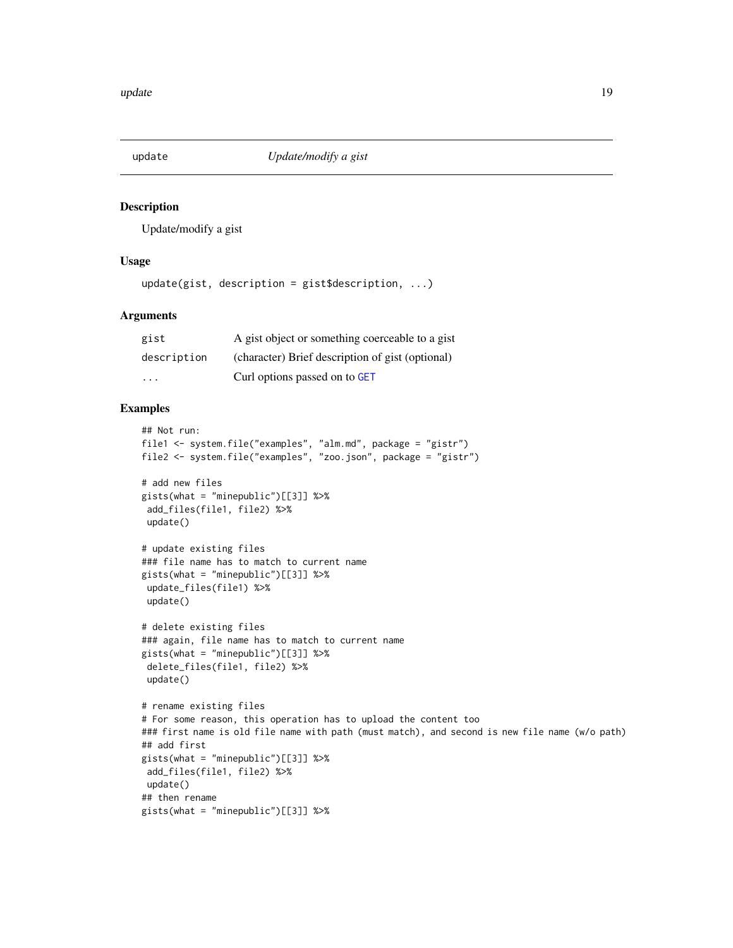<span id="page-18-0"></span>

Update/modify a gist

#### Usage

```
update(gist, description = gist$description, ...)
```
# Arguments

| gist        | A gist object or something coerceable to a gist  |
|-------------|--------------------------------------------------|
| description | (character) Brief description of gist (optional) |
| .           | Curl options passed on to GET                    |

```
## Not run:
file1 <- system.file("examples", "alm.md", package = "gistr")
file2 <- system.file("examples", "zoo.json", package = "gistr")
# add new files
gists(what = "minepublic")[[3]] %>%
 add_files(file1, file2) %>%
 update()
# update existing files
### file name has to match to current name
gists(what = "minepublic")[[3]] %>%
update_files(file1) %>%
 update()
# delete existing files
### again, file name has to match to current name
gists(what = "minepublic") [[3]] %>%
delete_files(file1, file2) %>%
 update()
# rename existing files
# For some reason, this operation has to upload the content too
### first name is old file name with path (must match), and second is new file name (w/o path)
## add first
gists(what = "minepublic")[[3]] %>%
 add_files(file1, file2) %>%
update()
## then rename
gists(what = "minepublic")[[3]] %>%
```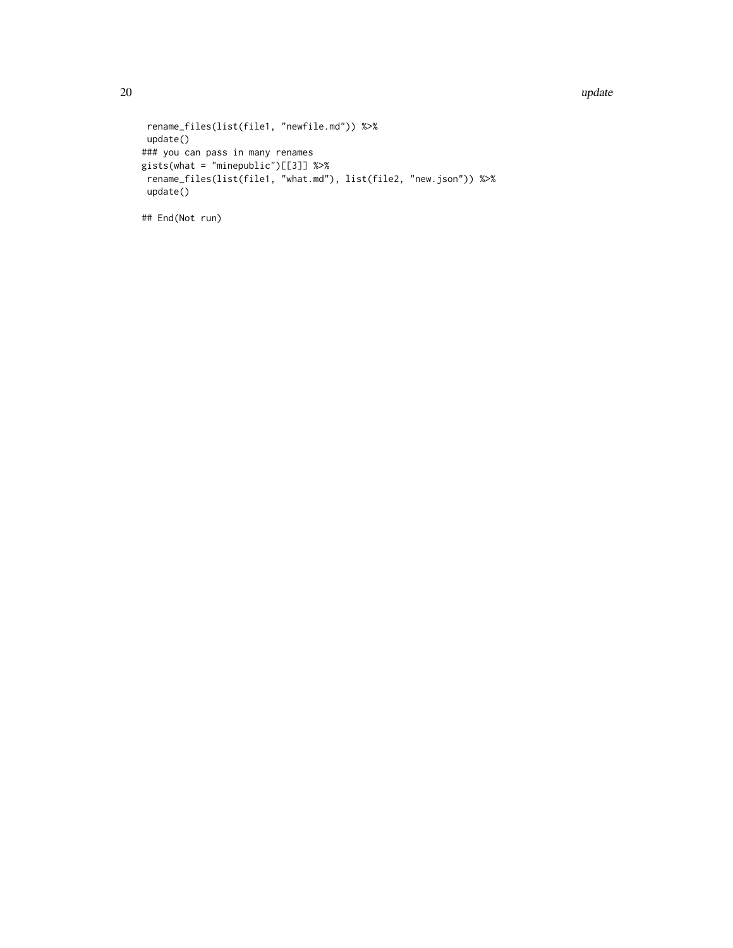20 and 20 update the set of the set of the set of the set of the set of the set of the set of the set of the set of the set of the set of the set of the set of the set of the set of the set of the set of the set of the set

```
rename_files(list(file1, "newfile.md")) %>%
update()
### you can pass in many renames
gists(what = "minepublic")[[3]] %>%
rename_files(list(file1, "what.md"), list(file2, "new.json")) %>%
update()
```
## End(Not run)